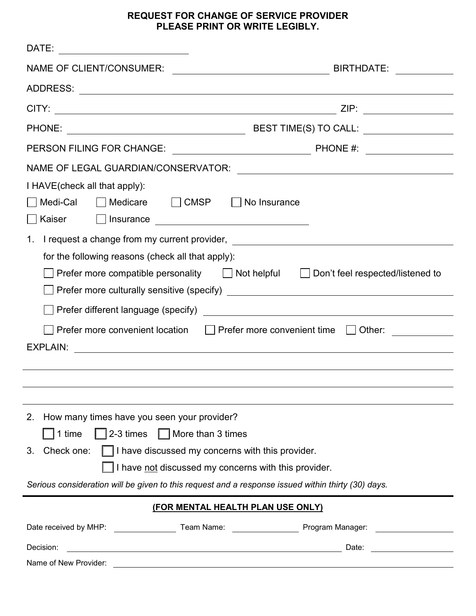#### **REQUEST FOR CHANGE OF SERVICE PROVIDER PLEASE PRINT OR WRITE LEGIBLY.**

| DATE:                                                                                              |                                                                                                                |
|----------------------------------------------------------------------------------------------------|----------------------------------------------------------------------------------------------------------------|
| <b>NAME OF CLIENT/CONSUMER:</b>                                                                    |                                                                                                                |
|                                                                                                    |                                                                                                                |
|                                                                                                    |                                                                                                                |
|                                                                                                    |                                                                                                                |
|                                                                                                    |                                                                                                                |
|                                                                                                    |                                                                                                                |
| I HAVE (check all that apply):                                                                     |                                                                                                                |
| Medicare CMSP<br>Medi-Cal                                                                          | No Insurance                                                                                                   |
| Kaiser                                                                                             |                                                                                                                |
| I request a change from my current provider, ___________________________________<br>1.             |                                                                                                                |
| for the following reasons (check all that apply):                                                  |                                                                                                                |
| Prefer more compatible personality   Not helpful   Don't feel respected/listened to                |                                                                                                                |
|                                                                                                    |                                                                                                                |
|                                                                                                    |                                                                                                                |
| Prefer more convenient location $\Box$ Prefer more convenient time $\Box$                          |                                                                                                                |
| <b>EXPLAIN:</b>                                                                                    |                                                                                                                |
|                                                                                                    |                                                                                                                |
|                                                                                                    |                                                                                                                |
| How many times have you seen your provider?<br>2.                                                  |                                                                                                                |
| $\Box$ 2-3 times $\Box$ More than 3 times<br>$\vert$ 1 time                                        |                                                                                                                |
| Check one: $\Box$ I have discussed my concerns with this provider.<br>3.                           |                                                                                                                |
| I have not discussed my concerns with this provider.                                               |                                                                                                                |
| Serious consideration will be given to this request and a response issued within thirty (30) days. |                                                                                                                |
| (FOR MENTAL HEALTH PLAN USE ONLY)                                                                  |                                                                                                                |
|                                                                                                    | Date received by MHP: _____________________Team Name: ________________________Program Manager: _______________ |
| Decision:                                                                                          |                                                                                                                |
| Name of New Provider:                                                                              |                                                                                                                |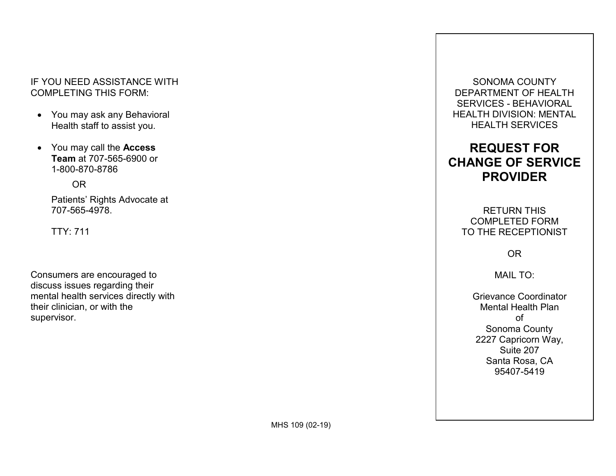#### IF YOU NEED ASSISTANCE WITH COMPLETING THIS FORM:

- You may ask any Behavioral Health staff to assist you.
- You may call the **Access Team** at 707-565-6900 or 1-800-870-8786

OR

 Patients' Rights Advocate at 707-565-4978.

TTY: 711

supervisor. Consumers are encouraged to discuss issues regarding their mental health services directly with their clinician, or with the supervisor.<br>MHS 109 (02-19)

 SERVICES - BEHAVIORAL SONOMA COUNTY DEPARTMENT OF HEALTH HEALTH DIVISION: MENTAL HEALTH SERVICES

# **REQUEST FOR CHANGE OF SERVICE PROVIDER**

RETURN THIS COMPLETED FORM TO THE RECEPTIONIST

OR

MAIL TO:

 Santa Rosa, CA 95407-5419 Grievance Coordinator Mental Health Plan of Sonoma County 2227 Capricorn Way, Suite 207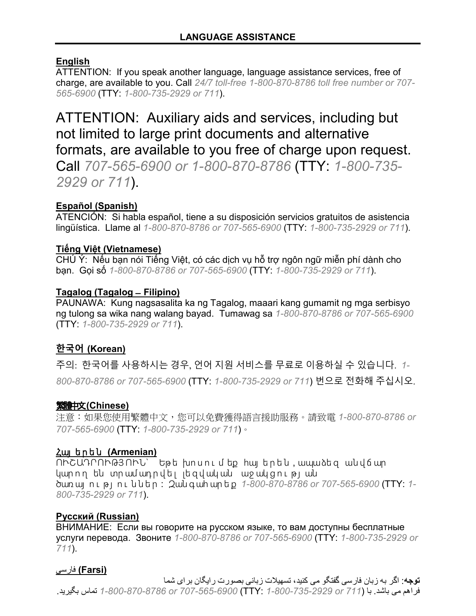# **English**

 *565-6900* (TTY: *1-800-735-2929 or 711*). ATTENTION: If you speak another language, language assistance services, free of charge, are available to you. Call *24/7 toll-free 1-800-870-8786 toll free number or 707-*

 ATTENTION: Auxiliary aids and services, including but Call *707-565-6900 or 1-800-870-8786* (TTY: *1-800-735* not limited to large print documents and alternative formats, are available to you free of charge upon request. *2929 or 711*).

#### **Español (Spanish)**

 ATENCIÓN: Si habla español, tiene a su disposición servicios gratuitos de asistencia lingüística. Llame al *1-800-870-8786 or 707-565-6900* (TTY: *1-800-735-2929 or 711*).

#### **Tiếng Việt (Vietnamese)**

 CHÚ Ý: Nếu bạn nói Tiếng Việt, có các dịch vụ hỗ trợ ngôn ngữ miễn phí dành cho bạn. Gọi số *1-800-870-8786 or 707-565-6900* (TTY: *1-800-735-2929 or 711*).

#### **Tagalog (Tagalog ̶ Filipino)**

 ng tulong sa wika nang walang bayad. Tumawag sa *1-800-870-8786 or 707-565-6900*  PAUNAWA: Kung nagsasalita ka ng Tagalog, maaari kang gumamit ng mga serbisyo (TTY: *1-800-735-2929 or 711*).

# **한국어 (Korean)**

 주의: 한국어를 사용하시는 경우, 언어 지원 서비스를 무료로 이용하실 수 있습니다. *1- 800-870-8786 or 707-565-6900* (TTY: *1-800-735-2929 or 711*) 번으로 전화해 주십시오.

#### 繁體中文**(Chinese)**

注意:如果您使用繁體中文,您可以免費獲得語言援助服務。請致電 *1-800-870-8786 or 707-565-6900* (TTY: *1-800-735-2929 or 711*)。

#### Հայ երեն **(Armenian)**

ՈՒՇԱԴՐՈՒԹՅՈՒՆ` Եթե խոսումեք հայերեն ,ապաձեզ անվճար կարող են տրամադրվել լեզվական աջակցության ծառ այ ո ւ թ յ ո ւ ններ : Զան գ ահ ար ե ք *1-800-870-8786 or 707-565-6900* (TTY: *1- 800-735-2929 or 711*).

#### **Русский (Russian)**

 услуги перевода. Звоните *1-800-870-8786 or 707-565-6900* (TTY: *1-800-735-2929 or*  ВНИМАНИЕ: Если вы говорите на русском языке, то вам доступны бесплатные *711*).

# **(Farsi (**یسفار

فراهم می باشد<sub>.</sub> با (711 or 2929-735-2929 (71<del>1 ) 1-800</del>-6707-707-707-707-707-7868-1 نماس بگیرید . **توجه**: اگر به زبان فارسی گفتگو می کنید، تسهیلات زبانی بصورت رایگان برای شما